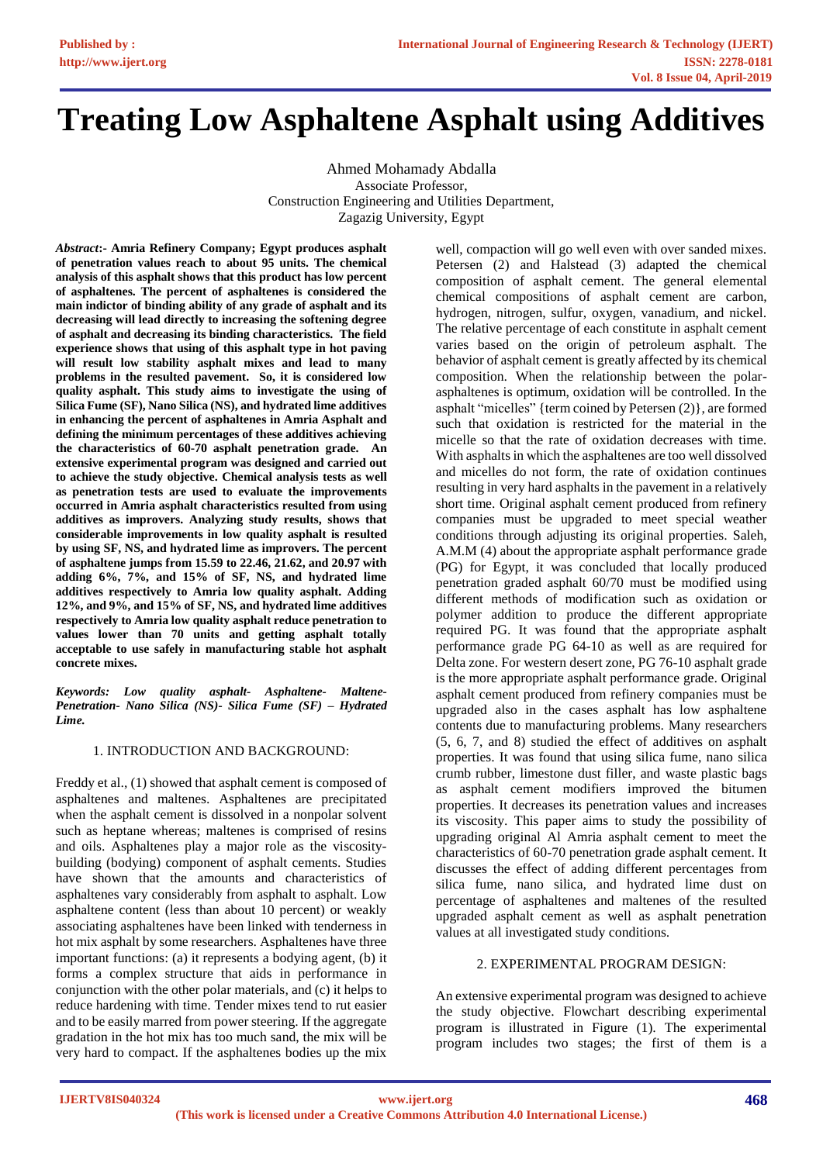# **Treating Low Asphaltene Asphalt using Additives**

Ahmed Mohamady Abdalla Associate Professor, Construction Engineering and Utilities Department, Zagazig University, Egypt

*Abstract***:- Amria Refinery Company; Egypt produces asphalt of penetration values reach to about 95 units. The chemical analysis of this asphalt shows that this product has low percent of asphaltenes. The percent of asphaltenes is considered the main indictor of binding ability of any grade of asphalt and its decreasing will lead directly to increasing the softening degree of asphalt and decreasing its binding characteristics. The field experience shows that using of this asphalt type in hot paving will result low stability asphalt mixes and lead to many problems in the resulted pavement. So, it is considered low quality asphalt. This study aims to investigate the using of Silica Fume (SF), Nano Silica (NS), and hydrated lime additives in enhancing the percent of asphaltenes in Amria Asphalt and defining the minimum percentages of these additives achieving the characteristics of 60-70 asphalt penetration grade. An extensive experimental program was designed and carried out to achieve the study objective. Chemical analysis tests as well as penetration tests are used to evaluate the improvements occurred in Amria asphalt characteristics resulted from using additives as improvers. Analyzing study results, shows that considerable improvements in low quality asphalt is resulted by using SF, NS, and hydrated lime as improvers. The percent of asphaltene jumps from 15.59 to 22.46, 21.62, and 20.97 with adding 6%, 7%, and 15% of SF, NS, and hydrated lime additives respectively to Amria low quality asphalt. Adding 12%, and 9%, and 15% of SF, NS, and hydrated lime additives respectively to Amria low quality asphalt reduce penetration to values lower than 70 units and getting asphalt totally acceptable to use safely in manufacturing stable hot asphalt concrete mixes.**

*Keywords: Low quality asphalt- Asphaltene- Maltene-Penetration- Nano Silica (NS)- Silica Fume (SF) – Hydrated Lime.*

# 1. INTRODUCTION AND BACKGROUND:

Freddy et al., (1) showed that asphalt cement is composed of asphaltenes and maltenes. Asphaltenes are precipitated when the asphalt cement is dissolved in a nonpolar solvent such as heptane whereas; maltenes is comprised of resins and oils. Asphaltenes play a major role as the viscositybuilding (bodying) component of asphalt cements. Studies have shown that the amounts and characteristics of asphaltenes vary considerably from asphalt to asphalt. Low asphaltene content (less than about 10 percent) or weakly associating asphaltenes have been linked with tenderness in hot mix asphalt by some researchers. Asphaltenes have three important functions: (a) it represents a bodying agent, (b) it forms a complex structure that aids in performance in conjunction with the other polar materials, and (c) it helps to reduce hardening with time. Tender mixes tend to rut easier and to be easily marred from power steering. If the aggregate gradation in the hot mix has too much sand, the mix will be very hard to compact. If the asphaltenes bodies up the mix

well, compaction will go well even with over sanded mixes. Petersen (2) and Halstead (3) adapted the chemical composition of asphalt cement. The general elemental chemical compositions of asphalt cement are carbon, hydrogen, nitrogen, sulfur, oxygen, vanadium, and nickel. The relative percentage of each constitute in asphalt cement varies based on the origin of petroleum asphalt. The behavior of asphalt cement is greatly affected by its chemical composition. When the relationship between the polarasphaltenes is optimum, oxidation will be controlled. In the asphalt "micelles" {term coined by Petersen (2)}, are formed such that oxidation is restricted for the material in the micelle so that the rate of oxidation decreases with time. With asphalts in which the asphaltenes are too well dissolved and micelles do not form, the rate of oxidation continues resulting in very hard asphalts in the pavement in a relatively short time. Original asphalt cement produced from refinery companies must be upgraded to meet special weather conditions through adjusting its original properties. Saleh, A.M.M (4) about the appropriate asphalt performance grade (PG) for Egypt, it was concluded that locally produced penetration graded asphalt 60/70 must be modified using different methods of modification such as oxidation or polymer addition to produce the different appropriate required PG. It was found that the appropriate asphalt performance grade PG 64-10 as well as are required for Delta zone. For western desert zone, PG 76-10 asphalt grade is the more appropriate asphalt performance grade. Original asphalt cement produced from refinery companies must be upgraded also in the cases asphalt has low asphaltene contents due to manufacturing problems. Many researchers (5, 6, 7, and 8) studied the effect of additives on asphalt properties. It was found that using silica fume, nano silica crumb rubber, limestone dust filler, and waste plastic bags as asphalt cement modifiers improved the bitumen properties. It decreases its penetration values and increases its viscosity. This paper aims to study the possibility of upgrading original Al Amria asphalt cement to meet the characteristics of 60-70 penetration grade asphalt cement. It discusses the effect of adding different percentages from silica fume, nano silica, and hydrated lime dust on percentage of asphaltenes and maltenes of the resulted upgraded asphalt cement as well as asphalt penetration values at all investigated study conditions.

# 2. EXPERIMENTAL PROGRAM DESIGN:

An extensive experimental program was designed to achieve the study objective. Flowchart describing experimental program is illustrated in Figure (1). The experimental program includes two stages; the first of them is a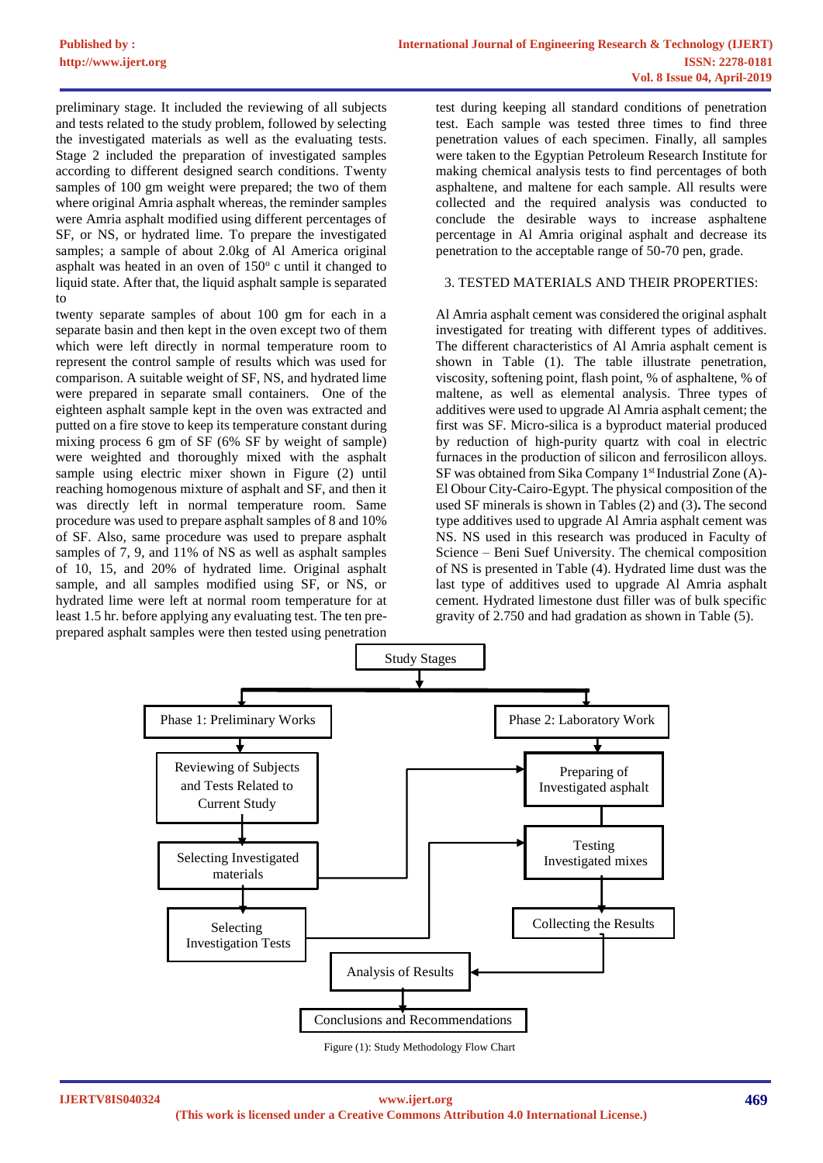preliminary stage. It included the reviewing of all subjects and tests related to the study problem, followed by selecting the investigated materials as well as the evaluating tests. Stage 2 included the preparation of investigated samples according to different designed search conditions. Twenty samples of 100 gm weight were prepared; the two of them where original Amria asphalt whereas, the reminder samples were Amria asphalt modified using different percentages of SF, or NS, or hydrated lime. To prepare the investigated samples; a sample of about 2.0kg of Al America original asphalt was heated in an oven of  $150^\circ$  c until it changed to liquid state. After that, the liquid asphalt sample is separated to

twenty separate samples of about 100 gm for each in a separate basin and then kept in the oven except two of them which were left directly in normal temperature room to represent the control sample of results which was used for comparison. A suitable weight of SF, NS, and hydrated lime were prepared in separate small containers. One of the eighteen asphalt sample kept in the oven was extracted and putted on a fire stove to keep its temperature constant during mixing process 6 gm of SF (6% SF by weight of sample) were weighted and thoroughly mixed with the asphalt sample using electric mixer shown in Figure (2) until reaching homogenous mixture of asphalt and SF, and then it was directly left in normal temperature room. Same procedure was used to prepare asphalt samples of 8 and 10% of SF. Also, same procedure was used to prepare asphalt samples of 7, 9, and 11% of NS as well as asphalt samples of 10, 15, and 20% of hydrated lime. Original asphalt sample, and all samples modified using SF, or NS, or hydrated lime were left at normal room temperature for at least 1.5 hr. before applying any evaluating test. The ten preprepared asphalt samples were then tested using penetration

test during keeping all standard conditions of penetration test. Each sample was tested three times to find three penetration values of each specimen. Finally, all samples were taken to the Egyptian Petroleum Research Institute for making chemical analysis tests to find percentages of both asphaltene, and maltene for each sample. All results were collected and the required analysis was conducted to conclude the desirable ways to increase asphaltene percentage in Al Amria original asphalt and decrease its penetration to the acceptable range of 50-70 pen, grade.

## 3. TESTED MATERIALS AND THEIR PROPERTIES:

Al Amria asphalt cement was considered the original asphalt investigated for treating with different types of additives. The different characteristics of Al Amria asphalt cement is shown in Table (1). The table illustrate penetration, viscosity, softening point, flash point, % of asphaltene, % of maltene, as well as elemental analysis. Three types of additives were used to upgrade Al Amria asphalt cement; the first was SF. Micro-silica is a byproduct material produced by reduction of high-purity quartz with coal in electric furnaces in the production of silicon and ferrosilicon alloys. SF was obtained from Sika Company 1<sup>st</sup> Industrial Zone (A)-El Obour City-Cairo-Egypt. The physical composition of the used SF minerals is shown in Tables (2) and (3)**.** The second type additives used to upgrade Al Amria asphalt cement was NS. NS used in this research was produced in Faculty of Science – Beni Suef University. The chemical composition of NS is presented in Table (4). Hydrated lime dust was the last type of additives used to upgrade Al Amria asphalt cement. Hydrated limestone dust filler was of bulk specific gravity of 2.750 and had gradation as shown in Table (5).



Figure (1): Study Methodology Flow Chart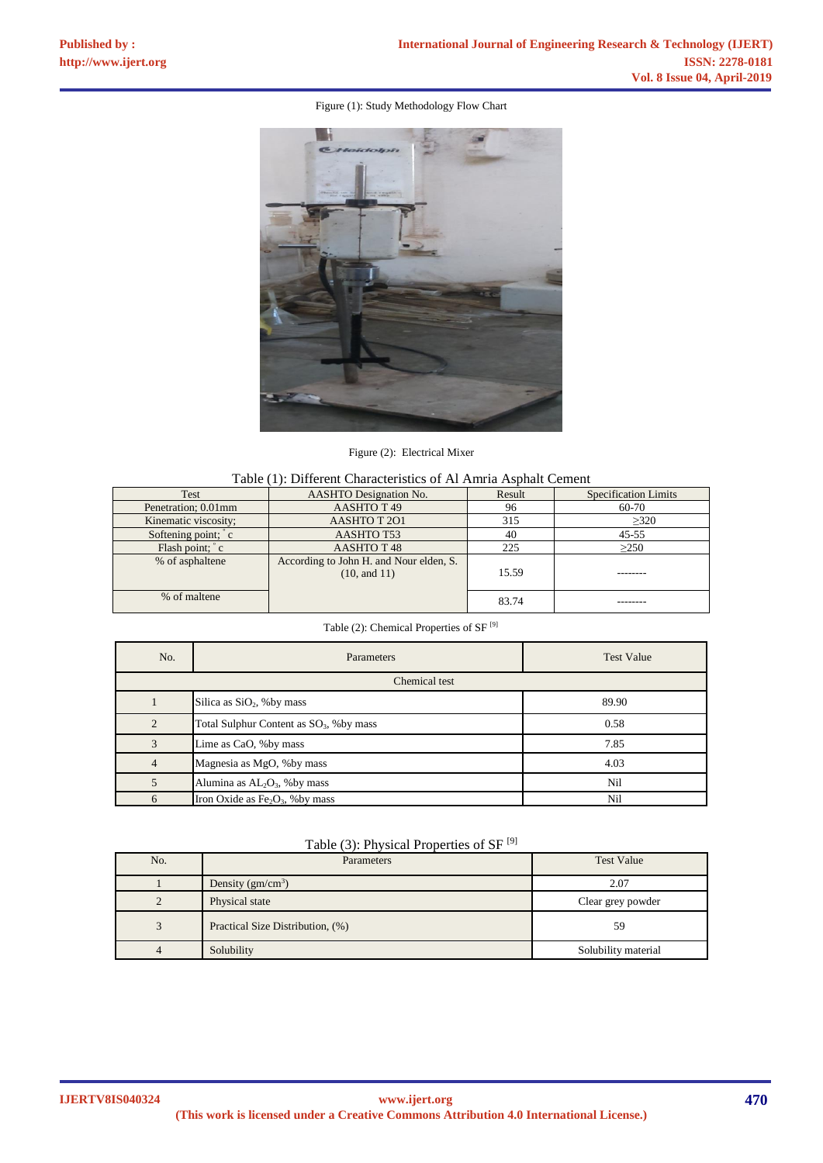# Figure (1): Study Methodology Flow Chart



Figure (2): Electrical Mixer

| Table (1): Different Characteristics of Al Amria Asphalt Cement |  |
|-----------------------------------------------------------------|--|
|-----------------------------------------------------------------|--|

| Test                 | <b>AASHTO</b> Designation No.                           | Result | Specification Limits |
|----------------------|---------------------------------------------------------|--------|----------------------|
| Penetration; 0.01mm  | AASHTO T <sub>49</sub>                                  |        | 60-70                |
| Kinematic viscosity; | AASHTO T 201                                            |        | >320                 |
| Softening point; c   | AASHTO T53                                              | 40     | $45 - 55$            |
| Flash point; ° c     | AASHTO T <sub>48</sub>                                  | 225    | >250                 |
| % of asphaltene      | According to John H. and Nour elden, S.<br>(10, and 11) | 15.59  |                      |
| % of maltene         |                                                         | 83.74  |                      |

Table (2): Chemical Properties of SF [9]

| No.            | Parameters                                  | <b>Test Value</b> |  |
|----------------|---------------------------------------------|-------------------|--|
| Chemical test  |                                             |                   |  |
|                | Silica as $SiO2$ , % by mass                | 89.90             |  |
| $\overline{c}$ | Total Sulphur Content as $SO_3$ , % by mass | 0.58              |  |
| 3              | Lime as CaO, %by mass                       | 7.85              |  |
| $\overline{4}$ | Magnesia as MgO, % by mass                  | 4.03              |  |
|                | Alumina as $AL_2O_3$ , % by mass            | Nil               |  |
| 6              | Iron Oxide as $Fe2O3$ , % by mass           | Nil               |  |

|  |  | Table (3): Physical Properties of SF $[9]$ |  |
|--|--|--------------------------------------------|--|
|--|--|--------------------------------------------|--|

| No. | Parameters                       | <b>Test Value</b>   |
|-----|----------------------------------|---------------------|
|     | Density $(gm/cm3)$               | 2.07                |
|     | Physical state                   | Clear grey powder   |
| 3   | Practical Size Distribution, (%) | 59                  |
|     | Solubility                       | Solubility material |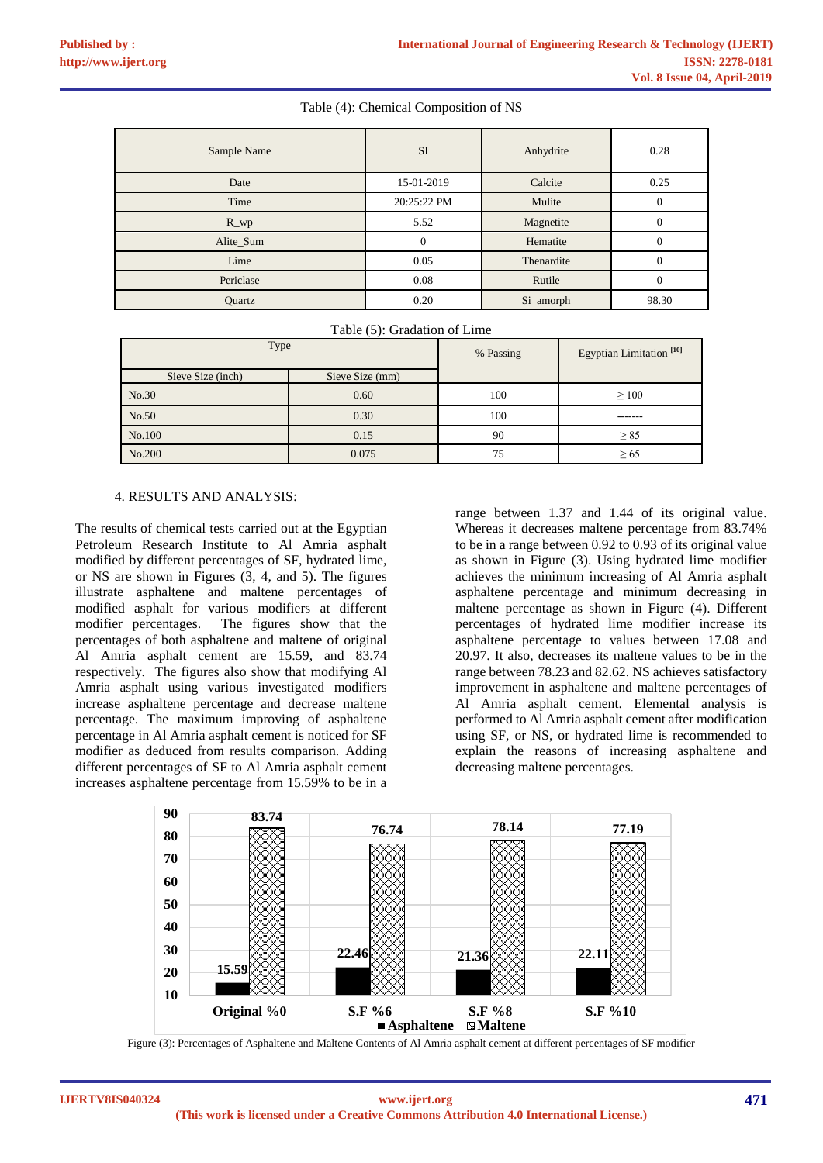# Table (4): Chemical Composition of NS

| Sample Name | SI          | Anhydrite  | 0.28         |
|-------------|-------------|------------|--------------|
| Date        | 15-01-2019  | Calcite    | 0.25         |
| Time        | 20:25:22 PM | Mulite     | $\mathbf{0}$ |
| $R_{W}$     | 5.52        | Magnetite  | $\mathbf{0}$ |
| Alite_Sum   | $\theta$    | Hematite   | $\mathbf{0}$ |
| Lime        | 0.05        | Thenardite | $\mathbf{0}$ |
| Periclase   | 0.08        | Rutile     | $\mathbf{0}$ |
| Quartz      | 0.20        | Si_amorph  | 98.30        |

Table (5): Gradation of Lime

| Type              |                 | % Passing | Egyptian Limitation <sup>[10]</sup> |
|-------------------|-----------------|-----------|-------------------------------------|
| Sieve Size (inch) | Sieve Size (mm) |           |                                     |
| No.30             | 0.60            | 100       | $\geq 100$                          |
| No.50             | 0.30            | 100       |                                     |
| No.100            | 0.15            | 90        | $\geq$ 85                           |
| No.200            | 0.075           | 75        | $\geq 65$                           |

### 4. RESULTS AND ANALYSIS:

The results of chemical tests carried out at the Egyptian Petroleum Research Institute to Al Amria asphalt modified by different percentages of SF, hydrated lime, or NS are shown in Figures (3, 4, and 5). The figures illustrate asphaltene and maltene percentages of modified asphalt for various modifiers at different modifier percentages. The figures show that the percentages of both asphaltene and maltene of original Al Amria asphalt cement are 15.59, and 83.74 respectively. The figures also show that modifying Al Amria asphalt using various investigated modifiers increase asphaltene percentage and decrease maltene percentage. The maximum improving of asphaltene percentage in Al Amria asphalt cement is noticed for SF modifier as deduced from results comparison. Adding different percentages of SF to Al Amria asphalt cement increases asphaltene percentage from 15.59% to be in a

range between 1.37 and 1.44 of its original value. Whereas it decreases maltene percentage from 83.74% to be in a range between 0.92 to 0.93 of its original value as shown in Figure (3). Using hydrated lime modifier achieves the minimum increasing of Al Amria asphalt asphaltene percentage and minimum decreasing in maltene percentage as shown in Figure (4). Different percentages of hydrated lime modifier increase its asphaltene percentage to values between 17.08 and 20.97. It also, decreases its maltene values to be in the range between 78.23 and 82.62. NS achieves satisfactory improvement in asphaltene and maltene percentages of Al Amria asphalt cement. Elemental analysis is performed to Al Amria asphalt cement after modification using SF, or NS, or hydrated lime is recommended to explain the reasons of increasing asphaltene and decreasing maltene percentages.



Figure (3): Percentages of Asphaltene and Maltene Contents of Al Amria asphalt cement at different percentages of SF modifier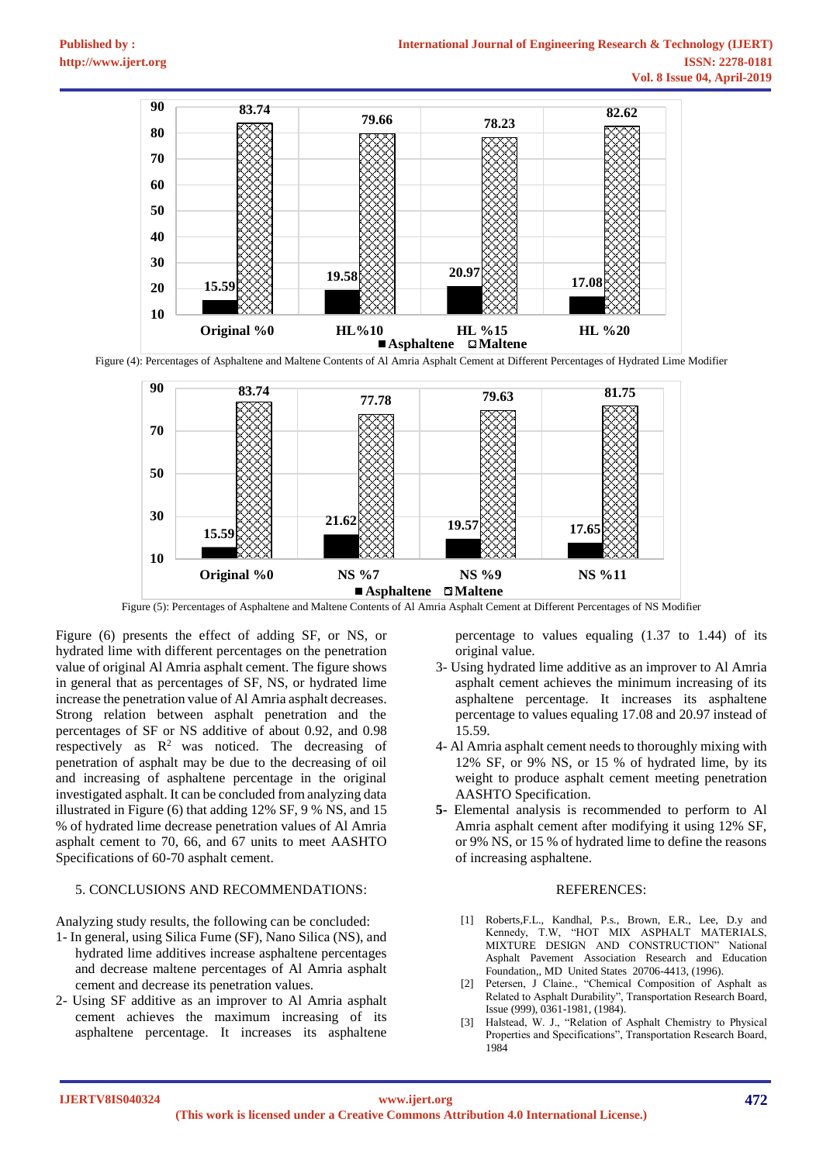

Figure (4): Percentages of Asphaltene and Maltene Contents of Al Amria Asphalt Cement at Different Percentages of Hydrated Lime Modifier



Figure (5): Percentages of Asphaltene and Maltene Contents of Al Amria Asphalt Cement at Different Percentages of NS Modifier

Figure (6) presents the effect of adding SF, or NS, or hydrated lime with different percentages on the penetration value of original Al Amria asphalt cement. The figure shows in general that as percentages of SF, NS, or hydrated lime increase the penetration value of Al Amria asphalt decreases. Strong relation between asphalt penetration and the percentages of SF or NS additive of about 0.92, and 0.98 respectively as  $R^2$  was noticed. The decreasing of penetration of asphalt may be due to the decreasing of oil and increasing of asphaltene percentage in the original investigated asphalt. It can be concluded from analyzing data illustrated in Figure (6) that adding 12% SF, 9 % NS, and 15 % of hydrated lime decrease penetration values of Al Amria asphalt cement to 70, 66, and 67 units to meet AASHTO Specifications of 60-70 asphalt cement.

# 5. CONCLUSIONS AND RECOMMENDATIONS:

Analyzing study results, the following can be concluded:

- 1- In general, using Silica Fume (SF), Nano Silica (NS), and hydrated lime additives increase asphaltene percentages and decrease maltene percentages of Al Amria asphalt cement and decrease its penetration values.
- 2- Using SF additive as an improver to Al Amria asphalt cement achieves the maximum increasing of its asphaltene percentage. It increases its asphaltene

percentage to values equaling (1.37 to 1.44) of its original value.

- 3- Using hydrated lime additive as an improver to Al Amria asphalt cement achieves the minimum increasing of its asphaltene percentage. It increases its asphaltene percentage to values equaling 17.08 and 20.97 instead of 15.59.
- 4- Al Amria asphalt cement needs to thoroughly mixing with 12% SF, or 9% NS, or 15 % of hydrated lime, by its weight to produce asphalt cement meeting penetration AASHTO Specification.
- **5-** Elemental analysis is recommended to perform to Al Amria asphalt cement after modifying it using 12% SF, or 9% NS, or 15 % of hydrated lime to define the reasons of increasing asphaltene.

### REFERENCES:

- [1] Roberts, F.L., Kandhal, P.s., Brown, E.R., Lee, D.y and Kennedy, T.W, "HOT MIX ASPHALT MATERIALS, MIXTURE DESIGN AND CONSTRUCTION" National Asphalt Pavement Association Research and Education Foundation,, MD United States 20706-4413, (1996).
- [2] Petersen, J Claine., "Chemical Composition of Asphalt as Related to Asphalt Durability", Transportation Research Board, Issue (999), 0361-1981, (1984).
- [3] Halstead, W. J., "Relation of Asphalt Chemistry to Physical Properties and Specifications", Transportation Research Board, 1984